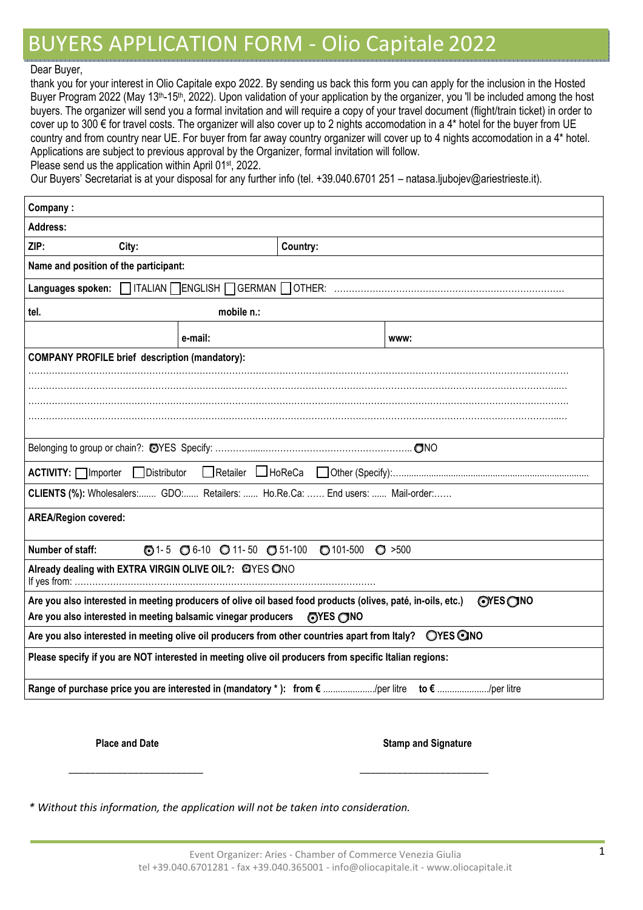## BUYERS APPLICATION FORM - Olio Capitale 2022

## Dear Buyer,

thank you for your interest in Olio Capitale expo 2022. By sending us back this form you can apply for the inclusion in the Hosted Buyer Program 2022 (May 13<sup>th</sup>-15<sup>th</sup>, 2022). Upon validation of your application by the organizer, you 'll be included among the host buyers. The organizer will send you a formal invitation and will require a copy of your travel document (flight/train ticket) in order to cover up to 300 € for travel costs. The organizer will also cover up to 2 nights accomodation in a 4\* hotel for the buyer from UE country and from country near UE. For buyer from far away country organizer will cover up to 4 nights accomodation in a 4\* hotel. Applications are subject to previous approval by the Organizer, formal invitation will follow. Please send us the application within April 01<sup>st</sup>, 2022.

Our Buyers' Secretariat is at your disposal for any further info (tel. +39.040.6701 251 – natasa.ljubojev@ariestrieste.it).

| Company:                                                                                                                    |         |  |          |  |  |
|-----------------------------------------------------------------------------------------------------------------------------|---------|--|----------|--|--|
| Address:                                                                                                                    |         |  |          |  |  |
| ZIP:<br>City:                                                                                                               |         |  | Country: |  |  |
| Name and position of the participant:                                                                                       |         |  |          |  |  |
|                                                                                                                             |         |  |          |  |  |
| mobile n.:<br>tel.                                                                                                          |         |  |          |  |  |
|                                                                                                                             | e-mail: |  | www:     |  |  |
| <b>COMPANY PROFILE brief description (mandatory):</b>                                                                       |         |  |          |  |  |
|                                                                                                                             |         |  |          |  |  |
|                                                                                                                             |         |  |          |  |  |
|                                                                                                                             |         |  |          |  |  |
|                                                                                                                             |         |  |          |  |  |
|                                                                                                                             |         |  |          |  |  |
| ACTIVITY: □ Importer □ Distributor                                                                                          |         |  |          |  |  |
| CLIENTS (%): Wholesalers: GDO: Retailers:  Ho.Re.Ca:  End users:  Mail-order:                                               |         |  |          |  |  |
| <b>AREA/Region covered:</b>                                                                                                 |         |  |          |  |  |
| $\odot$ 1-5 $\odot$ 6-10 $\odot$ 11-50 $\odot$ 51-100<br>Number of staff:<br>$\bigcirc$ 101-500<br>O > 500                  |         |  |          |  |  |
| Already dealing with EXTRA VIRGIN OLIVE OIL?: @YES ONO                                                                      |         |  |          |  |  |
| Are you also interested in meeting producers of olive oil based food products (olives, paté, in-oils, etc.)<br>$OVES$ $ONO$ |         |  |          |  |  |
| Are you also interested in meeting balsamic vinegar producers<br><b>OYES ONO</b>                                            |         |  |          |  |  |
| Are you also interested in meeting olive oil producers from other countries apart from Italy?  OYES ONO                     |         |  |          |  |  |
| Please specify if you are NOT interested in meeting olive oil producers from specific Italian regions:                      |         |  |          |  |  |
| Range of purchase price you are interested in (mandatory *): from € /per litre to € /per litre                              |         |  |          |  |  |
|                                                                                                                             |         |  |          |  |  |

**Place and Date** Stamp and Signature **Stamp and Signature Stamp and Signature** 

*\* Without this information, the application will not be taken into consideration.*

\_\_\_\_\_\_\_\_\_\_\_\_\_\_\_\_\_\_\_\_\_\_\_\_\_ \_\_\_\_\_\_\_\_\_\_\_\_\_\_\_\_\_\_\_\_\_\_\_\_